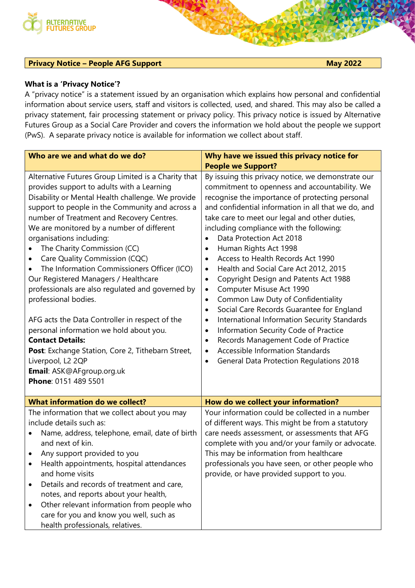

## **Privacy Notice – People AFG Support May 2022**

## **What is a 'Privacy Notice'?**

A "privacy notice" is a statement issued by an organisation which explains how personal and confidential information about service users, staff and visitors is collected, used, and shared. This may also be called a privacy statement, fair processing statement or privacy policy. This privacy notice is issued by Alternative Futures Group as a Social Care Provider and covers the information we hold about the people we support (PwS). A separate privacy notice is available for information we collect about staff.

| Who are we and what do we do?                                                                                                                                                                                                                                                                                                                                                                                                                                                                                                                                                                                                                                                                                                                                                                                                          | Why have we issued this privacy notice for                                                                                                                                                                                                                                                                                                                                                                                                                                                                                                                                                                                                                                                                                                                                                                                                                                                                                                                                                           |
|----------------------------------------------------------------------------------------------------------------------------------------------------------------------------------------------------------------------------------------------------------------------------------------------------------------------------------------------------------------------------------------------------------------------------------------------------------------------------------------------------------------------------------------------------------------------------------------------------------------------------------------------------------------------------------------------------------------------------------------------------------------------------------------------------------------------------------------|------------------------------------------------------------------------------------------------------------------------------------------------------------------------------------------------------------------------------------------------------------------------------------------------------------------------------------------------------------------------------------------------------------------------------------------------------------------------------------------------------------------------------------------------------------------------------------------------------------------------------------------------------------------------------------------------------------------------------------------------------------------------------------------------------------------------------------------------------------------------------------------------------------------------------------------------------------------------------------------------------|
|                                                                                                                                                                                                                                                                                                                                                                                                                                                                                                                                                                                                                                                                                                                                                                                                                                        | <b>People we Support?</b>                                                                                                                                                                                                                                                                                                                                                                                                                                                                                                                                                                                                                                                                                                                                                                                                                                                                                                                                                                            |
| Alternative Futures Group Limited is a Charity that<br>provides support to adults with a Learning<br>Disability or Mental Health challenge. We provide<br>support to people in the Community and across a<br>number of Treatment and Recovery Centres.<br>We are monitored by a number of different<br>organisations including:<br>The Charity Commission (CC)<br>Care Quality Commission (CQC)<br>$\bullet$<br>The Information Commissioners Officer (ICO)<br>Our Registered Managers / Healthcare<br>professionals are also regulated and governed by<br>professional bodies.<br>AFG acts the Data Controller in respect of the<br>personal information we hold about you.<br><b>Contact Details:</b><br>Post: Exchange Station, Core 2, Tithebarn Street,<br>Liverpool, L2 2QP<br>Email: ASK@AFgroup.org.uk<br>Phone: 0151 489 5501 | By issuing this privacy notice, we demonstrate our<br>commitment to openness and accountability. We<br>recognise the importance of protecting personal<br>and confidential information in all that we do, and<br>take care to meet our legal and other duties,<br>including compliance with the following:<br>Data Protection Act 2018<br>$\bullet$<br>Human Rights Act 1998<br>$\bullet$<br>Access to Health Records Act 1990<br>$\bullet$<br>Health and Social Care Act 2012, 2015<br>$\bullet$<br>Copyright Design and Patents Act 1988<br>$\bullet$<br>Computer Misuse Act 1990<br>$\bullet$<br>Common Law Duty of Confidentiality<br>$\bullet$<br>Social Care Records Guarantee for England<br>$\bullet$<br>International Information Security Standards<br>٠<br>Information Security Code of Practice<br>$\bullet$<br>Records Management Code of Practice<br>$\bullet$<br><b>Accessible Information Standards</b><br>$\bullet$<br><b>General Data Protection Regulations 2018</b><br>$\bullet$ |
| <b>What information do we collect?</b>                                                                                                                                                                                                                                                                                                                                                                                                                                                                                                                                                                                                                                                                                                                                                                                                 | How do we collect your information?                                                                                                                                                                                                                                                                                                                                                                                                                                                                                                                                                                                                                                                                                                                                                                                                                                                                                                                                                                  |
| The information that we collect about you may<br>include details such as:<br>Name, address, telephone, email, date of birth<br>and next of kin.<br>Any support provided to you<br>$\bullet$<br>Health appointments, hospital attendances<br>and home visits<br>Details and records of treatment and care,<br>$\bullet$<br>notes, and reports about your health,<br>Other relevant information from people who<br>٠<br>care for you and know you well, such as<br>health professionals, relatives.                                                                                                                                                                                                                                                                                                                                      | Your information could be collected in a number<br>of different ways. This might be from a statutory<br>care needs assessment, or assessments that AFG<br>complete with you and/or your family or advocate.<br>This may be information from healthcare<br>professionals you have seen, or other people who<br>provide, or have provided support to you.                                                                                                                                                                                                                                                                                                                                                                                                                                                                                                                                                                                                                                              |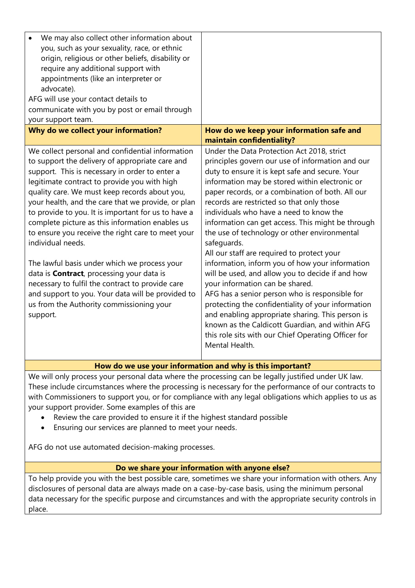| We may also collect other information about<br>you, such as your sexuality, race, or ethnic<br>origin, religious or other beliefs, disability or<br>require any additional support with<br>appointments (like an interpreter or                                                                                                                                                                                                                                                                                                                                                                                                                                                                                                                                        |                                                                                                                                                                                                                                                                                                                                                                                                                                                                                                                                                                                                                                                                                                                                                                                                                                                                                                                                                     |  |
|------------------------------------------------------------------------------------------------------------------------------------------------------------------------------------------------------------------------------------------------------------------------------------------------------------------------------------------------------------------------------------------------------------------------------------------------------------------------------------------------------------------------------------------------------------------------------------------------------------------------------------------------------------------------------------------------------------------------------------------------------------------------|-----------------------------------------------------------------------------------------------------------------------------------------------------------------------------------------------------------------------------------------------------------------------------------------------------------------------------------------------------------------------------------------------------------------------------------------------------------------------------------------------------------------------------------------------------------------------------------------------------------------------------------------------------------------------------------------------------------------------------------------------------------------------------------------------------------------------------------------------------------------------------------------------------------------------------------------------------|--|
| advocate).<br>AFG will use your contact details to                                                                                                                                                                                                                                                                                                                                                                                                                                                                                                                                                                                                                                                                                                                     |                                                                                                                                                                                                                                                                                                                                                                                                                                                                                                                                                                                                                                                                                                                                                                                                                                                                                                                                                     |  |
| communicate with you by post or email through<br>your support team.                                                                                                                                                                                                                                                                                                                                                                                                                                                                                                                                                                                                                                                                                                    |                                                                                                                                                                                                                                                                                                                                                                                                                                                                                                                                                                                                                                                                                                                                                                                                                                                                                                                                                     |  |
| Why do we collect your information?                                                                                                                                                                                                                                                                                                                                                                                                                                                                                                                                                                                                                                                                                                                                    | How do we keep your information safe and<br>maintain confidentiality?                                                                                                                                                                                                                                                                                                                                                                                                                                                                                                                                                                                                                                                                                                                                                                                                                                                                               |  |
| We collect personal and confidential information<br>to support the delivery of appropriate care and<br>support. This is necessary in order to enter a<br>legitimate contract to provide you with high<br>quality care. We must keep records about you,<br>your health, and the care that we provide, or plan<br>to provide to you. It is important for us to have a<br>complete picture as this information enables us<br>to ensure you receive the right care to meet your<br>individual needs.<br>The lawful basis under which we process your<br>data is <b>Contract</b> , processing your data is<br>necessary to fulfil the contract to provide care<br>and support to you. Your data will be provided to<br>us from the Authority commissioning your<br>support. | Under the Data Protection Act 2018, strict<br>principles govern our use of information and our<br>duty to ensure it is kept safe and secure. Your<br>information may be stored within electronic or<br>paper records, or a combination of both. All our<br>records are restricted so that only those<br>individuals who have a need to know the<br>information can get access. This might be through<br>the use of technology or other environmental<br>safeguards.<br>All our staff are required to protect your<br>information, inform you of how your information<br>will be used, and allow you to decide if and how<br>your information can be shared.<br>AFG has a senior person who is responsible for<br>protecting the confidentiality of your information<br>and enabling appropriate sharing. This person is<br>known as the Caldicott Guardian, and within AFG<br>this role sits with our Chief Operating Officer for<br>Mental Health. |  |
| How do we use your information and why is this important?                                                                                                                                                                                                                                                                                                                                                                                                                                                                                                                                                                                                                                                                                                              |                                                                                                                                                                                                                                                                                                                                                                                                                                                                                                                                                                                                                                                                                                                                                                                                                                                                                                                                                     |  |

We will only process your personal data where the processing can be legally justified under UK law. These include circumstances where the processing is necessary for the performance of our contracts to with Commissioners to support you, or for compliance with any legal obligations which applies to us as your support provider. Some examples of this are

- Review the care provided to ensure it if the highest standard possible
- Ensuring our services are planned to meet your needs.

AFG do not use automated decision-making processes.

## **Do we share your information with anyone else?**

To help provide you with the best possible care, sometimes we share your information with others. Any disclosures of personal data are always made on a case-by-case basis, using the minimum personal data necessary for the specific purpose and circumstances and with the appropriate security controls in place.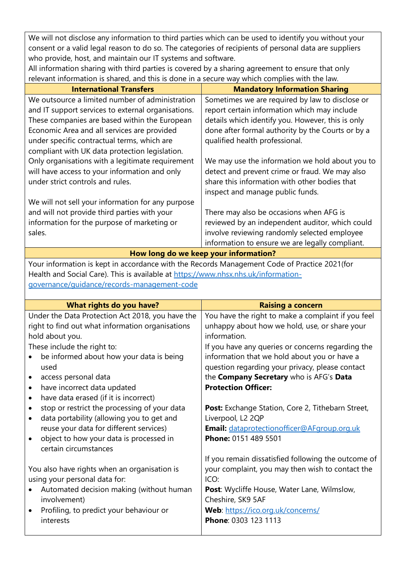We will not disclose any information to third parties which can be used to identify you without your consent or a valid legal reason to do so. The categories of recipients of personal data are suppliers who provide, host, and maintain our IT systems and software.

All information sharing with third parties is covered by a sharing agreement to ensure that only relevant information is shared, and this is done in a secure way which complies with the law.

| <b>International Transfers</b>                     | <b>Mandatory Information Sharing</b>              |
|----------------------------------------------------|---------------------------------------------------|
| We outsource a limited number of administration    | Sometimes we are required by law to disclose or   |
| and IT support services to external organisations. | report certain information which may include      |
| These companies are based within the European      | details which identify you. However, this is only |
| Economic Area and all services are provided        | done after formal authority by the Courts or by a |
| under specific contractual terms, which are        | qualified health professional.                    |
| compliant with UK data protection legislation.     |                                                   |
| Only organisations with a legitimate requirement   | We may use the information we hold about you to   |
| will have access to your information and only      | detect and prevent crime or fraud. We may also    |
| under strict controls and rules.                   | share this information with other bodies that     |
|                                                    | inspect and manage public funds.                  |
| We will not sell your information for any purpose  |                                                   |
| and will not provide third parties with your       | There may also be occasions when AFG is           |
| information for the purpose of marketing or        | reviewed by an independent auditor, which could   |
| sales.                                             | involve reviewing randomly selected employee      |
|                                                    | information to ensure we are legally compliant.   |

**How long do we keep your information?**

Your information is kept in accordance with the Records Management Code of Practice 2021(for Health and Social Care). This is available at [https://www.nhsx.nhs.uk/information](https://www.nhsx.nhs.uk/information-governance/guidance/records-management-code)[governance/guidance/records-management-code](https://www.nhsx.nhs.uk/information-governance/guidance/records-management-code)

| What rights do you have?                                  | <b>Raising a concern</b>                            |
|-----------------------------------------------------------|-----------------------------------------------------|
| Under the Data Protection Act 2018, you have the          | You have the right to make a complaint if you feel  |
| right to find out what information organisations          | unhappy about how we hold, use, or share your       |
| hold about you.                                           | information.                                        |
| These include the right to:                               | If you have any queries or concerns regarding the   |
| be informed about how your data is being                  | information that we hold about you or have a        |
| used                                                      | question regarding your privacy, please contact     |
| access personal data<br>$\bullet$                         | the Company Secretary who is AFG's Data             |
| have incorrect data updated<br>$\bullet$                  | <b>Protection Officer:</b>                          |
| have data erased (if it is incorrect)<br>$\bullet$        |                                                     |
| stop or restrict the processing of your data<br>$\bullet$ | Post: Exchange Station, Core 2, Tithebarn Street,   |
| data portability (allowing you to get and<br>$\bullet$    | Liverpool, L2 2QP                                   |
| reuse your data for different services)                   | Email: dataprotectionofficer@AFgroup.org.uk         |
| object to how your data is processed in<br>$\bullet$      | Phone: 0151 489 5501                                |
| certain circumstances                                     |                                                     |
|                                                           | If you remain dissatisfied following the outcome of |
| You also have rights when an organisation is              | your complaint, you may then wish to contact the    |
| using your personal data for:                             | ICO:                                                |
| Automated decision making (without human                  | Post: Wycliffe House, Water Lane, Wilmslow,         |
| involvement)                                              | Cheshire, SK9 5AF                                   |
| Profiling, to predict your behaviour or                   | Web: https://ico.org.uk/concerns/                   |
| interests                                                 | Phone: 0303 123 1113                                |
|                                                           |                                                     |